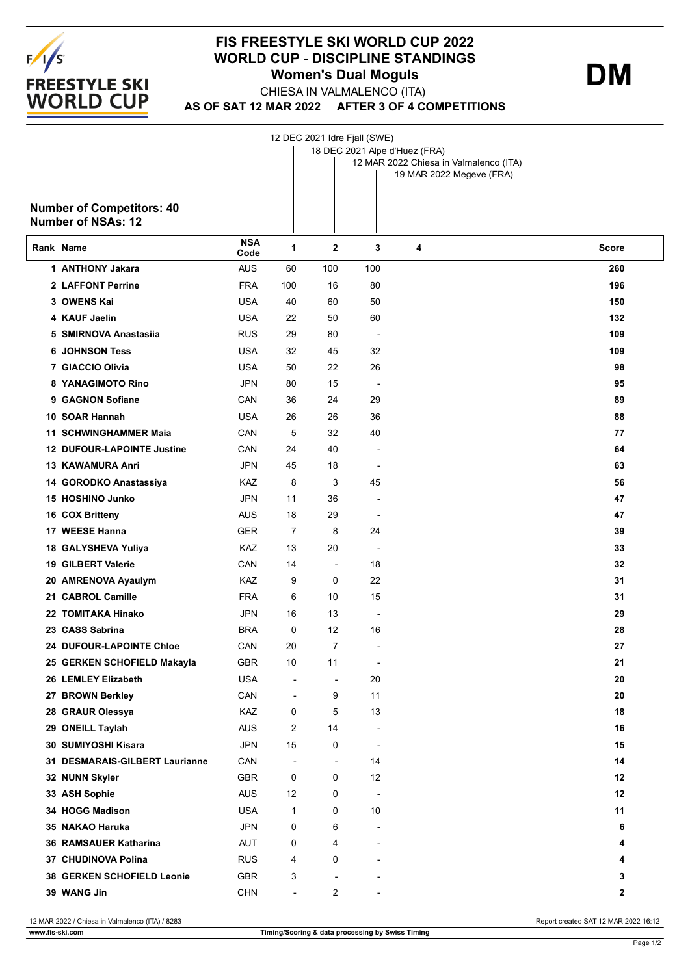

## **FIS FREESTYLE SKI WORLD CUP 2022 WORLD CUP - DISCIPLINE STANDINGS Women's Dual Moguls DM**

**AS OF SAT 12 MAR 2022 AFTER 3 OF 4 COMPETITIONS** CHIESA IN VALMALENCO (ITA)

12 DEC 2021 Idre Fjall (SWE)

|           |                                                               |                    |                          | 18 DEC 2021 Alpe d'Huez (FRA) |                          |                                        |             |  |  |  |
|-----------|---------------------------------------------------------------|--------------------|--------------------------|-------------------------------|--------------------------|----------------------------------------|-------------|--|--|--|
|           |                                                               |                    |                          |                               |                          | 12 MAR 2022 Chiesa in Valmalenco (ITA) |             |  |  |  |
|           |                                                               |                    |                          |                               |                          | 19 MAR 2022 Megeve (FRA)               |             |  |  |  |
|           |                                                               |                    |                          |                               |                          |                                        |             |  |  |  |
|           | <b>Number of Competitors: 40</b><br><b>Number of NSAs: 12</b> |                    |                          |                               |                          |                                        |             |  |  |  |
|           |                                                               |                    |                          |                               |                          |                                        |             |  |  |  |
| Rank Name |                                                               | <b>NSA</b><br>Code | 1                        | $\mathbf{2}$                  | 3                        | 4                                      | Score       |  |  |  |
|           | 1 ANTHONY Jakara                                              | <b>AUS</b>         | 60                       | 100                           | 100                      |                                        | 260         |  |  |  |
|           | 2 LAFFONT Perrine                                             | <b>FRA</b>         | 100                      | 16                            | 80                       |                                        | 196         |  |  |  |
|           | 3 OWENS Kai                                                   | <b>USA</b>         | 40                       | 60                            | 50                       |                                        | 150         |  |  |  |
|           | 4 KAUF Jaelin                                                 | <b>USA</b>         | 22                       | 50                            | 60                       |                                        | 132         |  |  |  |
|           | 5 SMIRNOVA Anastasiia                                         | <b>RUS</b>         | 29                       | 80                            | $\overline{\phantom{a}}$ |                                        | 109         |  |  |  |
|           | <b>6 JOHNSON Tess</b>                                         | <b>USA</b>         | 32                       | 45                            | 32                       |                                        | 109         |  |  |  |
|           | 7 GIACCIO Olivia                                              | <b>USA</b>         | 50                       | 22                            | 26                       |                                        | 98          |  |  |  |
|           | 8 YANAGIMOTO Rino                                             | JPN                | 80                       | 15                            | $\overline{\phantom{a}}$ |                                        | 95          |  |  |  |
|           | 9 GAGNON Sofiane                                              | CAN                | 36                       | 24                            | 29                       |                                        | 89          |  |  |  |
|           | 10 SOAR Hannah                                                | <b>USA</b>         | 26                       | 26                            | 36                       |                                        | 88          |  |  |  |
|           | 11 SCHWINGHAMMER Maia                                         | CAN                | 5                        | 32                            | 40                       |                                        | 77          |  |  |  |
|           | 12 DUFOUR-LAPOINTE Justine                                    | CAN                | 24                       | 40                            |                          |                                        | 64          |  |  |  |
|           | <b>13 KAWAMURA Anri</b>                                       | JPN                | 45                       | 18                            | $\overline{a}$           |                                        | 63          |  |  |  |
|           | 14 GORODKO Anastassiya                                        | KAZ                | 8                        | 3                             | 45                       |                                        | 56          |  |  |  |
|           | 15 HOSHINO Junko                                              | JPN                | 11                       | 36                            |                          |                                        | 47          |  |  |  |
|           | 16 COX Britteny                                               | <b>AUS</b>         | 18                       | 29                            | $\overline{a}$           |                                        | 47          |  |  |  |
|           | 17 WEESE Hanna                                                | <b>GER</b>         | 7                        | 8                             | 24                       |                                        | 39          |  |  |  |
|           | 18 GALYSHEVA Yuliya                                           | KAZ                | 13                       | 20                            | $\overline{a}$           |                                        | 33          |  |  |  |
|           | 19 GILBERT Valerie                                            | CAN                | 14                       | $\overline{\phantom{a}}$      | 18                       |                                        | 32          |  |  |  |
|           | 20 AMRENOVA Ayaulym                                           | KAZ                | 9                        | 0                             | 22                       |                                        | 31          |  |  |  |
|           | 21 CABROL Camille                                             | FRA                | 6                        | 10                            | 15                       |                                        | 31          |  |  |  |
|           | 22 TOMITAKA Hinako                                            | JPN                | 16                       | 13                            | $\overline{a}$           |                                        | 29          |  |  |  |
|           | 23 CASS Sabrina                                               | <b>BRA</b>         | 0                        | 12                            | 16                       |                                        | 28          |  |  |  |
|           | <b>24 DUFOUR-LAPOINTE Chloe</b>                               | CAN                | 20                       | 7                             |                          |                                        | 27          |  |  |  |
|           | 25 GERKEN SCHOFIELD Makayla                                   | GBR                | 10                       | 11                            |                          |                                        | 21          |  |  |  |
|           | 26 LEMLEY Elizabeth                                           | <b>USA</b>         |                          | Ĭ.                            | 20                       |                                        | 20          |  |  |  |
|           | 27 BROWN Berkley                                              | CAN                | $\overline{\phantom{a}}$ | 9                             | 11                       |                                        | 20          |  |  |  |
|           | 28 GRAUR Olessya                                              | KAZ                | 0                        | 5                             | 13                       |                                        | 18          |  |  |  |
|           | 29 ONEILL Taylah                                              | <b>AUS</b>         | 2                        | 14                            | $\overline{a}$           |                                        | 16          |  |  |  |
|           | 30 SUMIYOSHI Kisara                                           | JPN                | 15                       | 0                             | $\overline{a}$           |                                        | 15          |  |  |  |
|           | 31 DESMARAIS-GILBERT Laurianne                                | CAN                | $\overline{a}$           | $\overline{\phantom{a}}$      | 14                       |                                        | 14          |  |  |  |
|           | 32 NUNN Skyler                                                | <b>GBR</b>         | 0                        | 0                             | 12                       |                                        | 12          |  |  |  |
|           | 33 ASH Sophie                                                 | <b>AUS</b>         | 12                       | 0                             | $\overline{\phantom{a}}$ |                                        | 12          |  |  |  |
|           | 34 HOGG Madison                                               | <b>USA</b>         | 1                        | 0                             | 10                       |                                        | 11          |  |  |  |
|           | 35 NAKAO Haruka                                               | JPN                | 0                        | 6                             | $\overline{a}$           |                                        | 6           |  |  |  |
|           | 36 RAMSAUER Katharina                                         | AUT                | 0                        | 4                             | $\blacksquare$           |                                        | 4           |  |  |  |
|           | 37 CHUDINOVA Polina                                           | <b>RUS</b>         | 4                        | 0                             |                          |                                        | 4           |  |  |  |
|           | 38 GERKEN SCHOFIELD Leonie                                    | <b>GBR</b>         | 3                        | ٠                             |                          |                                        | 3           |  |  |  |
|           | 39 WANG Jin                                                   | <b>CHN</b>         | $\overline{\phantom{a}}$ | 2                             |                          |                                        | $\mathbf 2$ |  |  |  |
|           |                                                               |                    |                          |                               |                          |                                        |             |  |  |  |

12 MAR 2022 / Chiesa in Valmalenco (ITA) / 8283 Report created SAT 12 MAR 2022 16:12